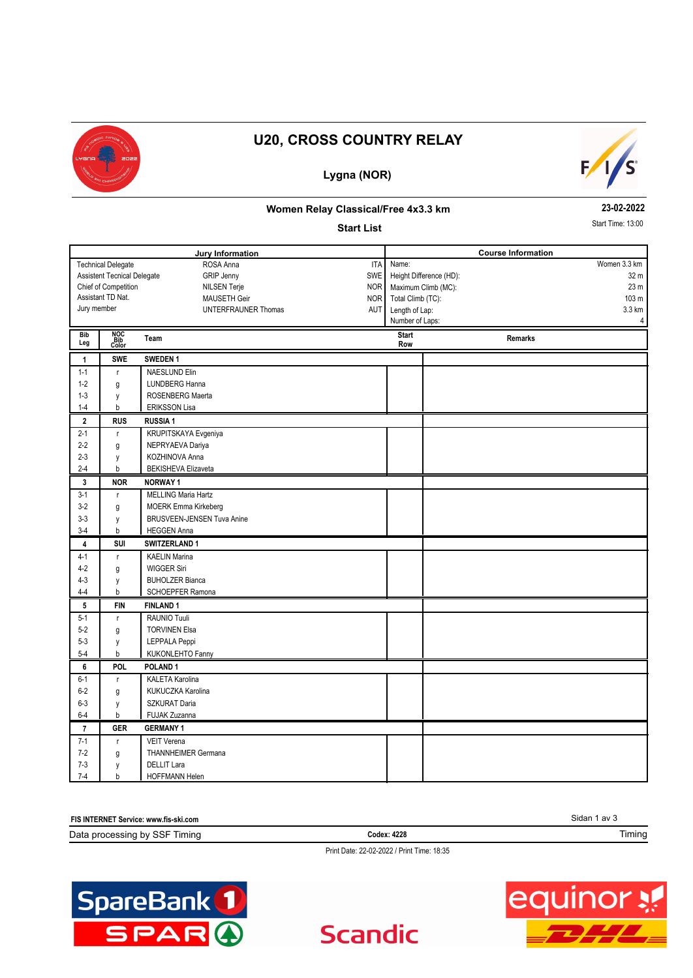

# **U20, CROSS COUNTRY RELAY**

## **Lygna (NOR)**



### **Women Relay Classical/Free 4x3.3 km**

#### **Start List**

**23-02-2022**

Start Time: 13:00

| Jury Information                                               |                     | <b>Course Information</b>         |                                 |                     |                  |
|----------------------------------------------------------------|---------------------|-----------------------------------|---------------------------------|---------------------|------------------|
| <b>Technical Delegate</b><br>ROSA Anna<br><b>ITA</b>           |                     |                                   | Name:                           |                     | Women 3.3 km     |
| <b>GRIP Jenny</b><br><b>SWE</b><br>Assistent Tecnical Delegate |                     |                                   | Height Difference (HD):<br>32 m |                     |                  |
| Chief of Competition<br>NILSEN Terje<br>NOR                    |                     |                                   |                                 | Maximum Climb (MC): | 23 m             |
|                                                                | Assistant TD Nat.   | MAUSETH Geir<br><b>NOR</b>        | Total Climb (TC):               |                     | 103 <sub>m</sub> |
| Jury member                                                    |                     | <b>UNTERFRAUNER Thomas</b><br>AUT | Length of Lap:                  |                     | 3.3 km           |
|                                                                |                     |                                   | Number of Laps:                 |                     | 4                |
| <b>Bib</b><br>Leg                                              | NOC<br>Bib<br>Color | Team                              | <b>Start</b><br>Row             | Remarks             |                  |
| $\mathbf{1}$                                                   | <b>SWE</b>          | SWEDEN <sub>1</sub>               |                                 |                     |                  |
| $1 - 1$                                                        | $\mathbf{r}$        | <b>NAESLUND Elin</b>              |                                 |                     |                  |
| $1 - 2$                                                        | g                   | LUNDBERG Hanna                    |                                 |                     |                  |
| $1 - 3$                                                        | y                   | ROSENBERG Maerta                  |                                 |                     |                  |
| $1 - 4$                                                        | b                   | <b>ERIKSSON Lisa</b>              |                                 |                     |                  |
| $\mathbf{2}$                                                   | <b>RUS</b>          | <b>RUSSIA1</b>                    |                                 |                     |                  |
| $2 - 1$                                                        | $\mathbf{r}$        | KRUPITSKAYA Evgeniya              |                                 |                     |                  |
| $2-2$                                                          | g                   | NEPRYAEVA Dariya                  |                                 |                     |                  |
| $2 - 3$                                                        | y                   | KOZHINOVA Anna                    |                                 |                     |                  |
| $2 - 4$                                                        | b                   | <b>BEKISHEVA Elizaveta</b>        |                                 |                     |                  |
| 3                                                              | <b>NOR</b>          | <b>NORWAY1</b>                    |                                 |                     |                  |
| $3 - 1$                                                        | $\mathbf{r}$        | <b>MELLING Maria Hartz</b>        |                                 |                     |                  |
| $3-2$                                                          | g                   | <b>MOERK Emma Kirkeberg</b>       |                                 |                     |                  |
| $3 - 3$                                                        | y                   | <b>BRUSVEEN-JENSEN Tuva Anine</b> |                                 |                     |                  |
| $3-4$                                                          | b                   | <b>HEGGEN Anna</b>                |                                 |                     |                  |
| 4                                                              | SUI                 | SWITZERLAND 1                     |                                 |                     |                  |
| $4 - 1$                                                        | $\mathbf{r}$        | <b>KAELIN Marina</b>              |                                 |                     |                  |
| 4-2                                                            | g                   | <b>WIGGER Siri</b>                |                                 |                     |                  |
| $4 - 3$                                                        | y                   | <b>BUHOLZER Bianca</b>            |                                 |                     |                  |
| $4 - 4$                                                        | b                   | SCHOEPFER Ramona                  |                                 |                     |                  |
| 5                                                              | <b>FIN</b>          | <b>FINLAND1</b>                   |                                 |                     |                  |
| $5 - 1$                                                        | $\Gamma$            | RAUNIO Tuuli                      |                                 |                     |                  |
| $5-2$                                                          | g                   | <b>TORVINEN Elsa</b>              |                                 |                     |                  |
| $5 - 3$                                                        | y                   | LEPPALA Peppi                     |                                 |                     |                  |
| $5 - 4$                                                        | b                   | <b>KUKONLEHTO Fanny</b>           |                                 |                     |                  |
| 6                                                              | <b>POL</b>          | POLAND <sub>1</sub>               |                                 |                     |                  |
| $6 - 1$                                                        | $\mathsf{r}$        | <b>KALETA Karolina</b>            |                                 |                     |                  |
| $6-2$                                                          | g                   | KUKUCZKA Karolina                 |                                 |                     |                  |
| $6 - 3$                                                        | y                   | <b>SZKURAT Daria</b>              |                                 |                     |                  |
| $6 - 4$                                                        | b                   | FUJAK Zuzanna                     |                                 |                     |                  |
| $\overline{7}$                                                 | <b>GER</b>          | <b>GERMANY 1</b>                  |                                 |                     |                  |
| $7 - 1$                                                        | $\mathsf{r}$        | <b>VEIT Verena</b>                |                                 |                     |                  |
| $7 - 2$                                                        | g                   | <b>THANNHEIMER Germana</b>        |                                 |                     |                  |
| $7-3$                                                          | y                   | <b>DELLIT Lara</b>                |                                 |                     |                  |
| $7 - 4$                                                        | b                   | HOFFMANN Helen                    |                                 |                     |                  |

| <b>MIERNET</b><br><b>FIS IN</b><br>⊺ Service: www.fis-ski.com |             |        |  |
|---------------------------------------------------------------|-------------|--------|--|
| Data<br>ມ bv SSF l<br>Fiminc<br>processing                    | Codex: 4228 | Timing |  |

Print Date: 22-02-2022 / Print Time: 18:35

**Scandic** 



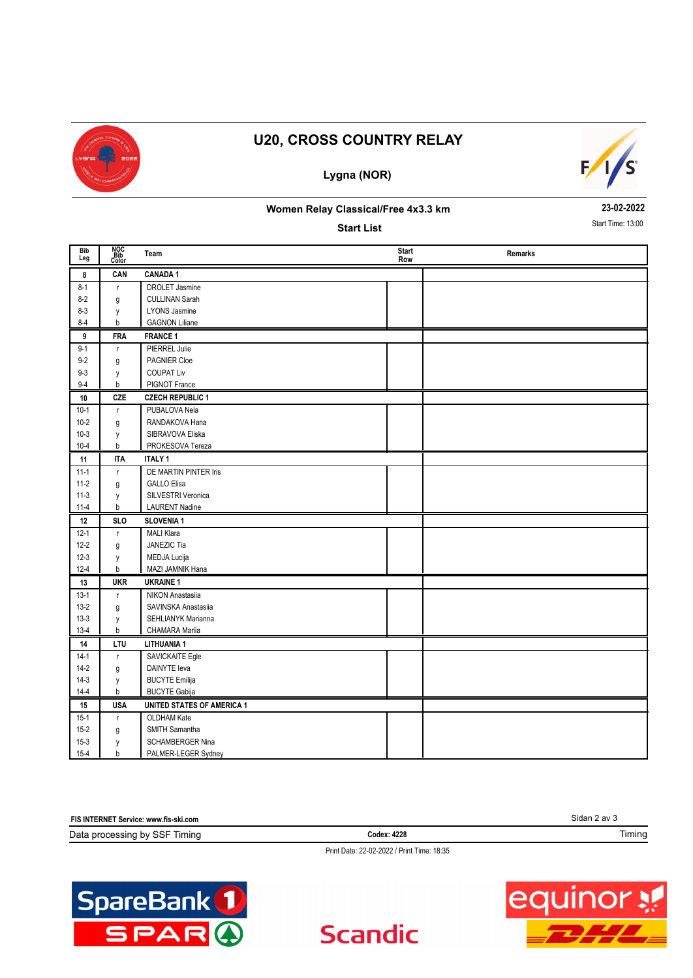

# **U20, CROSS COUNTRY RELAY**

## **Lygna (NOR)**



#### **Women Relay Classical/Free 4x3.3 km**

**Start List**

**23-02-2022** Start Time: 13:00

| Bib<br>Leg | NOC<br>Bib<br>Color | Team                              | <b>Start</b><br>Row | Remarks |
|------------|---------------------|-----------------------------------|---------------------|---------|
| 8          | CAN                 | <b>CANADA1</b>                    |                     |         |
| $8 - 1$    | r.                  | <b>DROLET Jasmine</b>             |                     |         |
| $8 - 2$    | g                   | <b>CULLINAN Sarah</b>             |                     |         |
| $8 - 3$    | y                   | <b>LYONS Jasmine</b>              |                     |         |
| $8 - 4$    | b                   | <b>GAGNON Liliane</b>             |                     |         |
| 9          | <b>FRA</b>          | <b>FRANCE 1</b>                   |                     |         |
| $9 - 1$    | $\mathsf{r}$        | PIERREL Julie                     |                     |         |
| $9-2$      | g                   | PAGNIER Cloe                      |                     |         |
| $9 - 3$    | y                   | <b>COUPAT Liv</b>                 |                     |         |
| $9 - 4$    | b                   | PIGNOT France                     |                     |         |
| 10         | CZE                 | <b>CZECH REPUBLIC 1</b>           |                     |         |
| $10-1$     | $\mathsf{r}$        | PUBALOVA Nela                     |                     |         |
| $10 - 2$   | g                   | RANDAKOVA Hana                    |                     |         |
| $10-3$     | y                   | SIBRAVOVA Eliska                  |                     |         |
| $10 - 4$   | b                   | PROKESOVA Tereza                  |                     |         |
| 11         | <b>ITA</b>          | <b>ITALY 1</b>                    |                     |         |
| $11-1$     | $\mathsf{r}$        | DE MARTIN PINTER Iris             |                     |         |
| $11-2$     | g                   | <b>GALLO Elisa</b>                |                     |         |
| $11-3$     | y                   | SILVESTRI Veronica                |                     |         |
| $11-4$     | b                   | <b>LAURENT Nadine</b>             |                     |         |
| 12         | <b>SLO</b>          | <b>SLOVENIA 1</b>                 |                     |         |
| $12 - 1$   | $\mathsf{r}$        | <b>MALI Klara</b>                 |                     |         |
| $12 - 2$   | g                   | JANEZIC Tia                       |                     |         |
| $12-3$     | y                   | MEDJA Lucija                      |                     |         |
| $12 - 4$   | b                   | MAZI JAMNIK Hana                  |                     |         |
| 13         | <b>UKR</b>          | <b>UKRAINE 1</b>                  |                     |         |
| $13-1$     | r.                  | NIKON Anastasiia                  |                     |         |
| $13-2$     | g                   | SAVINSKA Anastasiia               |                     |         |
| $13-3$     | y                   | <b>SEHLIANYK Marianna</b>         |                     |         |
| $13-4$     | b                   | CHAMARA Mariia                    |                     |         |
| 14         | LTU                 | <b>LITHUANIA1</b>                 |                     |         |
| $14-1$     | r                   | SAVICKAITE Egle                   |                     |         |
| $14-2$     | g                   | <b>DAINYTE</b> leva               |                     |         |
| $14-3$     | y                   | <b>BUCYTE Emilija</b>             |                     |         |
| $14 - 4$   | b                   | <b>BUCYTE Gabija</b>              |                     |         |
| 15         | <b>USA</b>          | <b>UNITED STATES OF AMERICA 1</b> |                     |         |
| $15 - 1$   | r.                  | OLDHAM Kate                       |                     |         |
| $15 - 2$   | g                   | SMITH Samantha                    |                     |         |
| $15-3$     | y                   | SCHAMBERGER Nina                  |                     |         |
| $15 - 4$   | b                   | PALMER-LEGER Sydney               |                     |         |

| FIS INTERNET Service: www.fis-ski.com      | Sidan 2 av 3 |        |  |
|--------------------------------------------|--------------|--------|--|
| Data processing by SSF Timing              | Codex: 4228  | Timing |  |
| Print Date: 22-02-2022 / Print Time: 18:35 |              |        |  |

**Scandic**